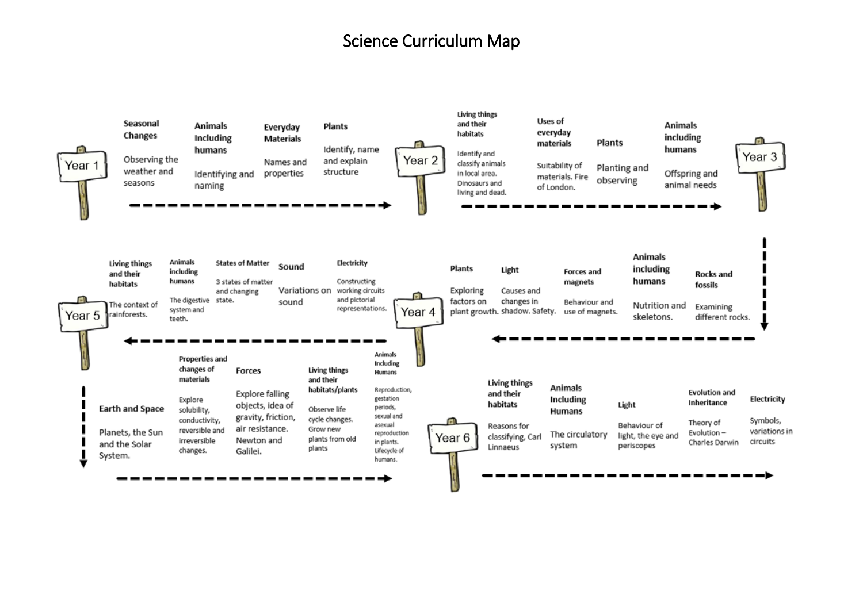## Science Curriculum Map

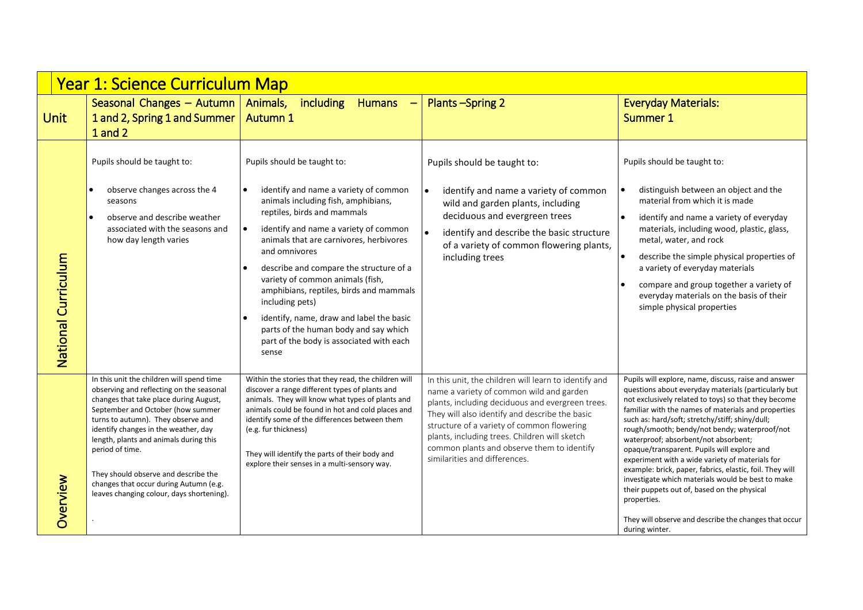|                     | <b>Year 1: Science Curriculum Map</b>                                                                                                                                                                                                                                                                                                                                                                                                          |                                                                                                                                                                                                                                                                                                                                                                                                                                                                                                                                                                  |                                                                                                                                                                                                                                                                                                                                                                                       |                                                                                                                                                                                                                                                                                                                                                                                                                                                                                                                                                                                                                                                                                                                                     |  |  |  |
|---------------------|------------------------------------------------------------------------------------------------------------------------------------------------------------------------------------------------------------------------------------------------------------------------------------------------------------------------------------------------------------------------------------------------------------------------------------------------|------------------------------------------------------------------------------------------------------------------------------------------------------------------------------------------------------------------------------------------------------------------------------------------------------------------------------------------------------------------------------------------------------------------------------------------------------------------------------------------------------------------------------------------------------------------|---------------------------------------------------------------------------------------------------------------------------------------------------------------------------------------------------------------------------------------------------------------------------------------------------------------------------------------------------------------------------------------|-------------------------------------------------------------------------------------------------------------------------------------------------------------------------------------------------------------------------------------------------------------------------------------------------------------------------------------------------------------------------------------------------------------------------------------------------------------------------------------------------------------------------------------------------------------------------------------------------------------------------------------------------------------------------------------------------------------------------------------|--|--|--|
| <b>Unit</b>         | Seasonal Changes $-$ Autumn   Animals,<br>1 and 2, Spring 1 and Summer<br>1 and 2                                                                                                                                                                                                                                                                                                                                                              | <i>including</i><br>Humans -<br><b>Autumn 1</b>                                                                                                                                                                                                                                                                                                                                                                                                                                                                                                                  | <b>Plants-Spring 2</b>                                                                                                                                                                                                                                                                                                                                                                | <b>Everyday Materials:</b><br>Summer 1                                                                                                                                                                                                                                                                                                                                                                                                                                                                                                                                                                                                                                                                                              |  |  |  |
| National Curriculum | Pupils should be taught to:<br>observe changes across the 4<br>seasons<br>observe and describe weather<br>$\bullet$<br>associated with the seasons and<br>how day length varies                                                                                                                                                                                                                                                                | Pupils should be taught to:<br>identify and name a variety of common<br>$\bullet$<br>animals including fish, amphibians,<br>reptiles, birds and mammals<br>$\bullet$<br>identify and name a variety of common<br>animals that are carnivores, herbivores<br>and omnivores<br>describe and compare the structure of a<br>variety of common animals (fish,<br>amphibians, reptiles, birds and mammals<br>including pets)<br>identify, name, draw and label the basic<br>parts of the human body and say which<br>part of the body is associated with each<br>sense | Pupils should be taught to:<br>identify and name a variety of common<br>wild and garden plants, including<br>deciduous and evergreen trees<br>identify and describe the basic structure<br>of a variety of common flowering plants,<br>including trees                                                                                                                                | Pupils should be taught to:<br>distinguish between an object and the<br>material from which it is made<br>identify and name a variety of everyday<br>materials, including wood, plastic, glass,<br>metal, water, and rock<br>describe the simple physical properties of<br>a variety of everyday materials<br>compare and group together a variety of<br>everyday materials on the basis of their<br>simple physical properties                                                                                                                                                                                                                                                                                                     |  |  |  |
| Overview            | In this unit the children will spend time<br>observing and reflecting on the seasonal<br>changes that take place during August,<br>September and October (how summer<br>turns to autumn). They observe and<br>identify changes in the weather, day<br>length, plants and animals during this<br>period of time.<br>They should observe and describe the<br>changes that occur during Autumn (e.g.<br>leaves changing colour, days shortening). | Within the stories that they read, the children will<br>discover a range different types of plants and<br>animals. They will know what types of plants and<br>animals could be found in hot and cold places and<br>identify some of the differences between them<br>(e.g. fur thickness)<br>They will identify the parts of their body and<br>explore their senses in a multi-sensory way.                                                                                                                                                                       | In this unit, the children will learn to identify and<br>name a variety of common wild and garden<br>plants, including deciduous and evergreen trees.<br>They will also identify and describe the basic<br>structure of a variety of common flowering<br>plants, including trees. Children will sketch<br>common plants and observe them to identify<br>similarities and differences. | Pupils will explore, name, discuss, raise and answer<br>questions about everyday materials (particularly but<br>not exclusively related to toys) so that they become<br>familiar with the names of materials and properties<br>such as: hard/soft; stretchy/stiff; shiny/dull;<br>rough/smooth; bendy/not bendy; waterproof/not<br>waterproof; absorbent/not absorbent;<br>opaque/transparent. Pupils will explore and<br>experiment with a wide variety of materials for<br>example: brick, paper, fabrics, elastic, foil. They will<br>investigate which materials would be best to make<br>their puppets out of, based on the physical<br>properties.<br>They will observe and describe the changes that occur<br>during winter. |  |  |  |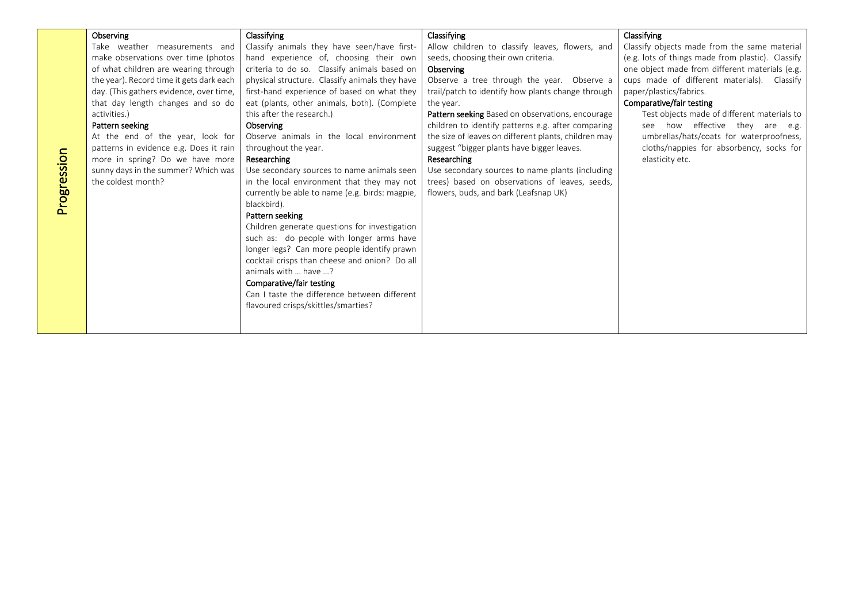|             | Observing                                | Classifying                                    | Classifying                                          |                                                   |
|-------------|------------------------------------------|------------------------------------------------|------------------------------------------------------|---------------------------------------------------|
|             |                                          |                                                |                                                      | Classifying                                       |
|             | Take weather measurements and            | Classify animals they have seen/have first-    | Allow children to classify leaves, flowers, and      | Classify objects made from the same material      |
|             | make observations over time (photos      | hand experience of, choosing their own         | seeds, choosing their own criteria.                  | (e.g. lots of things made from plastic). Classify |
|             | of what children are wearing through     | criteria to do so. Classify animals based on   | Observing                                            | one object made from different materials (e.g.    |
|             | the year). Record time it gets dark each | physical structure. Classify animals they have | Observe a tree through the year. Observe a           | cups made of different materials). Classify       |
|             | day. (This gathers evidence, over time,  | first-hand experience of based on what they    | trail/patch to identify how plants change through    | paper/plastics/fabrics.                           |
|             | that day length changes and so do        | eat (plants, other animals, both). (Complete   | the year.                                            | Comparative/fair testing                          |
|             | activities.)                             | this after the research.)                      | Pattern seeking Based on observations, encourage     | Test objects made of different materials to       |
|             | Pattern seeking                          | Observing                                      | children to identify patterns e.g. after comparing   | how effective they are e.g.<br>see                |
|             | At the end of the year, look for         | Observe animals in the local environment       | the size of leaves on different plants, children may | umbrellas/hats/coats for waterproofness,          |
|             | patterns in evidence e.g. Does it rain   | throughout the year.                           | suggest "bigger plants have bigger leaves.           | cloths/nappies for absorbency, socks for          |
|             | more in spring? Do we have more          | Researching                                    | Researching                                          | elasticity etc.                                   |
| Progression | sunny days in the summer? Which was      | Use secondary sources to name animals seen     | Use secondary sources to name plants (including      |                                                   |
|             | the coldest month?                       | in the local environment that they may not     | trees) based on observations of leaves, seeds,       |                                                   |
|             |                                          | currently be able to name (e.g. birds: magpie, | flowers, buds, and bark (Leafsnap UK)                |                                                   |
|             |                                          | blackbird).                                    |                                                      |                                                   |
|             |                                          | Pattern seeking                                |                                                      |                                                   |
|             |                                          | Children generate questions for investigation  |                                                      |                                                   |
|             |                                          | such as: do people with longer arms have       |                                                      |                                                   |
|             |                                          | longer legs? Can more people identify prawn    |                                                      |                                                   |
|             |                                          | cocktail crisps than cheese and onion? Do all  |                                                      |                                                   |
|             |                                          | animals with  have ?                           |                                                      |                                                   |
|             |                                          | Comparative/fair testing                       |                                                      |                                                   |
|             |                                          | Can I taste the difference between different   |                                                      |                                                   |
|             |                                          | flavoured crisps/skittles/smarties?            |                                                      |                                                   |
|             |                                          |                                                |                                                      |                                                   |
|             |                                          |                                                |                                                      |                                                   |
|             |                                          |                                                |                                                      |                                                   |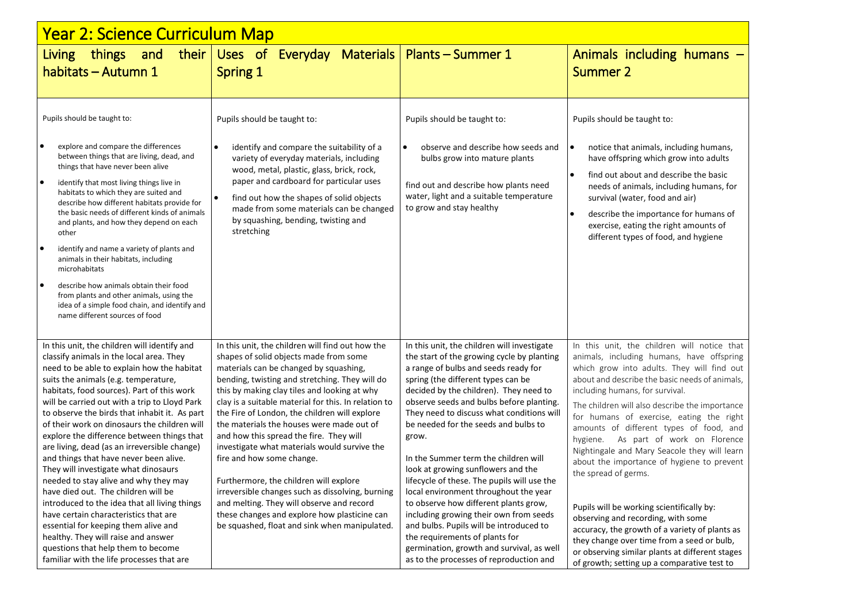| <u> Year 2: Science Curriculum Map</u>                                                                                                                                                                                                                                                                                                                                                                                                                                                                                                                                                                                                                                                                                                                                                                                                                                                                     |                                                                                                                                                                                                                                                                                                                                                                                                                                                                                                                                                                                                                                                                                                                                                                  |                                                                                                                                                                                                                                                                                                                                                                                                                                                                                                                                                                                                                                                                                                                                                                                           |                                                                                                                                                                                                                                                                                                                                                                                                                                                                                                                                                                                                                                                                                                                                                                                                                         |  |  |  |
|------------------------------------------------------------------------------------------------------------------------------------------------------------------------------------------------------------------------------------------------------------------------------------------------------------------------------------------------------------------------------------------------------------------------------------------------------------------------------------------------------------------------------------------------------------------------------------------------------------------------------------------------------------------------------------------------------------------------------------------------------------------------------------------------------------------------------------------------------------------------------------------------------------|------------------------------------------------------------------------------------------------------------------------------------------------------------------------------------------------------------------------------------------------------------------------------------------------------------------------------------------------------------------------------------------------------------------------------------------------------------------------------------------------------------------------------------------------------------------------------------------------------------------------------------------------------------------------------------------------------------------------------------------------------------------|-------------------------------------------------------------------------------------------------------------------------------------------------------------------------------------------------------------------------------------------------------------------------------------------------------------------------------------------------------------------------------------------------------------------------------------------------------------------------------------------------------------------------------------------------------------------------------------------------------------------------------------------------------------------------------------------------------------------------------------------------------------------------------------------|-------------------------------------------------------------------------------------------------------------------------------------------------------------------------------------------------------------------------------------------------------------------------------------------------------------------------------------------------------------------------------------------------------------------------------------------------------------------------------------------------------------------------------------------------------------------------------------------------------------------------------------------------------------------------------------------------------------------------------------------------------------------------------------------------------------------------|--|--|--|
| their  <br>and<br>things<br><b>Living</b><br>habitats - Autumn 1                                                                                                                                                                                                                                                                                                                                                                                                                                                                                                                                                                                                                                                                                                                                                                                                                                           | Uses of<br>Everyday Materials<br><b>Spring 1</b>                                                                                                                                                                                                                                                                                                                                                                                                                                                                                                                                                                                                                                                                                                                 | <b>Plants – Summer 1</b>                                                                                                                                                                                                                                                                                                                                                                                                                                                                                                                                                                                                                                                                                                                                                                  | Animals including humans $-$<br><b>Summer 2</b>                                                                                                                                                                                                                                                                                                                                                                                                                                                                                                                                                                                                                                                                                                                                                                         |  |  |  |
| Pupils should be taught to:<br>$\bullet$<br>explore and compare the differences<br>between things that are living, dead, and<br>things that have never been alive<br>$\bullet$<br>identify that most living things live in<br>habitats to which they are suited and<br>describe how different habitats provide for<br>the basic needs of different kinds of animals<br>and plants, and how they depend on each<br>other<br>$\bullet$<br>identify and name a variety of plants and<br>animals in their habitats, including<br>microhabitats<br>$\bullet$<br>describe how animals obtain their food<br>from plants and other animals, using the<br>idea of a simple food chain, and identify and<br>name different sources of food                                                                                                                                                                           | Pupils should be taught to:<br>identify and compare the suitability of a<br>variety of everyday materials, including<br>wood, metal, plastic, glass, brick, rock,<br>paper and cardboard for particular uses<br>find out how the shapes of solid objects<br>made from some materials can be changed<br>by squashing, bending, twisting and<br>stretching                                                                                                                                                                                                                                                                                                                                                                                                         | Pupils should be taught to:<br>$\bullet$<br>observe and describe how seeds and<br>bulbs grow into mature plants<br>find out and describe how plants need<br>water, light and a suitable temperature<br>to grow and stay healthy                                                                                                                                                                                                                                                                                                                                                                                                                                                                                                                                                           | Pupils should be taught to:<br>notice that animals, including humans,<br>$\bullet$<br>have offspring which grow into adults<br>find out about and describe the basic<br>$\bullet$<br>needs of animals, including humans, for<br>survival (water, food and air)<br>$\bullet$<br>describe the importance for humans of<br>exercise, eating the right amounts of<br>different types of food, and hygiene                                                                                                                                                                                                                                                                                                                                                                                                                   |  |  |  |
| In this unit, the children will identify and<br>classify animals in the local area. They<br>need to be able to explain how the habitat<br>suits the animals (e.g. temperature,<br>habitats, food sources). Part of this work<br>will be carried out with a trip to Lloyd Park<br>to observe the birds that inhabit it. As part<br>of their work on dinosaurs the children will<br>explore the difference between things that<br>are living, dead (as an irreversible change)<br>and things that have never been alive.<br>They will investigate what dinosaurs<br>needed to stay alive and why they may<br>have died out. The children will be<br>introduced to the idea that all living things<br>have certain characteristics that are<br>essential for keeping them alive and<br>healthy. They will raise and answer<br>questions that help them to become<br>familiar with the life processes that are | In this unit, the children will find out how the<br>shapes of solid objects made from some<br>materials can be changed by squashing,<br>bending, twisting and stretching. They will do<br>this by making clay tiles and looking at why<br>clay is a suitable material for this. In relation to<br>the Fire of London, the children will explore<br>the materials the houses were made out of<br>and how this spread the fire. They will<br>investigate what materials would survive the<br>fire and how some change.<br>Furthermore, the children will explore<br>irreversible changes such as dissolving, burning<br>and melting. They will observe and record<br>these changes and explore how plasticine can<br>be squashed, float and sink when manipulated. | In this unit, the children will investigate<br>the start of the growing cycle by planting<br>a range of bulbs and seeds ready for<br>spring (the different types can be<br>decided by the children). They need to<br>observe seeds and bulbs before planting.<br>They need to discuss what conditions will<br>be needed for the seeds and bulbs to<br>grow.<br>In the Summer term the children will<br>look at growing sunflowers and the<br>lifecycle of these. The pupils will use the<br>local environment throughout the year<br>to observe how different plants grow,<br>including growing their own from seeds<br>and bulbs. Pupils will be introduced to<br>the requirements of plants for<br>germination, growth and survival, as well<br>as to the processes of reproduction and | In this unit, the children will notice that<br>animals, including humans, have offspring<br>which grow into adults. They will find out<br>about and describe the basic needs of animals,<br>including humans, for survival.<br>The children will also describe the importance<br>for humans of exercise, eating the right<br>amounts of different types of food, and<br>hygiene. As part of work on Florence<br>Nightingale and Mary Seacole they will learn<br>about the importance of hygiene to prevent<br>the spread of germs.<br>Pupils will be working scientifically by:<br>observing and recording, with some<br>accuracy, the growth of a variety of plants as<br>they change over time from a seed or bulb,<br>or observing similar plants at different stages<br>of growth; setting up a comparative test to |  |  |  |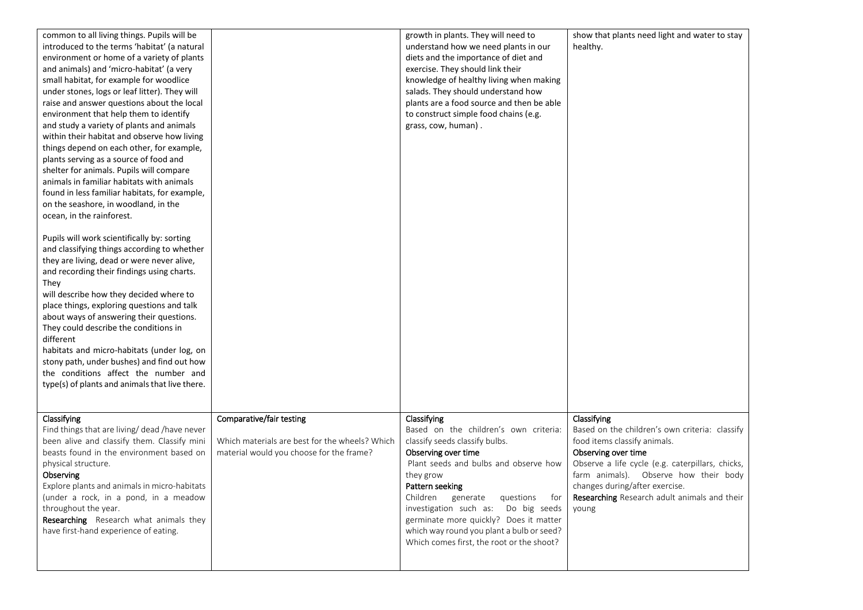| common to all living things. Pupils will be<br>introduced to the terms 'habitat' (a natural |                                                | growth in plants. They will need to<br>understand how we need plants in our | show that plants need light and water to stay<br>healthy. |
|---------------------------------------------------------------------------------------------|------------------------------------------------|-----------------------------------------------------------------------------|-----------------------------------------------------------|
| environment or home of a variety of plants                                                  |                                                | diets and the importance of diet and                                        |                                                           |
| and animals) and 'micro-habitat' (a very                                                    |                                                | exercise. They should link their                                            |                                                           |
| small habitat, for example for woodlice                                                     |                                                | knowledge of healthy living when making                                     |                                                           |
| under stones, logs or leaf litter). They will                                               |                                                | salads. They should understand how                                          |                                                           |
| raise and answer questions about the local                                                  |                                                | plants are a food source and then be able                                   |                                                           |
| environment that help them to identify                                                      |                                                | to construct simple food chains (e.g.                                       |                                                           |
| and study a variety of plants and animals                                                   |                                                | grass, cow, human).                                                         |                                                           |
| within their habitat and observe how living                                                 |                                                |                                                                             |                                                           |
| things depend on each other, for example,                                                   |                                                |                                                                             |                                                           |
| plants serving as a source of food and                                                      |                                                |                                                                             |                                                           |
| shelter for animals. Pupils will compare                                                    |                                                |                                                                             |                                                           |
| animals in familiar habitats with animals                                                   |                                                |                                                                             |                                                           |
| found in less familiar habitats, for example,                                               |                                                |                                                                             |                                                           |
|                                                                                             |                                                |                                                                             |                                                           |
| on the seashore, in woodland, in the                                                        |                                                |                                                                             |                                                           |
| ocean, in the rainforest.                                                                   |                                                |                                                                             |                                                           |
| Pupils will work scientifically by: sorting                                                 |                                                |                                                                             |                                                           |
| and classifying things according to whether                                                 |                                                |                                                                             |                                                           |
| they are living, dead or were never alive,                                                  |                                                |                                                                             |                                                           |
| and recording their findings using charts.                                                  |                                                |                                                                             |                                                           |
| They                                                                                        |                                                |                                                                             |                                                           |
| will describe how they decided where to                                                     |                                                |                                                                             |                                                           |
| place things, exploring questions and talk                                                  |                                                |                                                                             |                                                           |
| about ways of answering their questions.                                                    |                                                |                                                                             |                                                           |
| They could describe the conditions in                                                       |                                                |                                                                             |                                                           |
| different                                                                                   |                                                |                                                                             |                                                           |
| habitats and micro-habitats (under log, on                                                  |                                                |                                                                             |                                                           |
| stony path, under bushes) and find out how                                                  |                                                |                                                                             |                                                           |
| the conditions affect the number and                                                        |                                                |                                                                             |                                                           |
| type(s) of plants and animals that live there.                                              |                                                |                                                                             |                                                           |
|                                                                                             |                                                |                                                                             |                                                           |
|                                                                                             |                                                |                                                                             |                                                           |
| Classifying                                                                                 | Comparative/fair testing                       | Classifying                                                                 | Classifying                                               |
| Find things that are living/ dead /have never                                               |                                                | Based on the children's own criteria:                                       | Based on the children's own criteria: classify            |
| been alive and classify them. Classify mini                                                 | Which materials are best for the wheels? Which | classify seeds classify bulbs.                                              | food items classify animals.                              |
| beasts found in the environment based on                                                    | material would you choose for the frame?       | Observing over time                                                         | Observing over time                                       |
| physical structure.                                                                         |                                                | Plant seeds and bulbs and observe how                                       | Observe a life cycle (e.g. caterpillars, chicks,          |
| Observing                                                                                   |                                                | they grow                                                                   | farm animals). Observe how their body                     |
| Explore plants and animals in micro-habitats                                                |                                                | Pattern seeking                                                             | changes during/after exercise.                            |
| (under a rock, in a pond, in a meadow                                                       |                                                | Children generate questions<br>for                                          | Researching Research adult animals and their              |
| throughout the year.                                                                        |                                                | investigation such as: Do big seeds                                         | young                                                     |
| Researching Research what animals they                                                      |                                                | germinate more quickly? Does it matter                                      |                                                           |
| have first-hand experience of eating.                                                       |                                                | which way round you plant a bulb or seed?                                   |                                                           |
|                                                                                             |                                                | Which comes first, the root or the shoot?                                   |                                                           |
|                                                                                             |                                                |                                                                             |                                                           |
|                                                                                             |                                                |                                                                             |                                                           |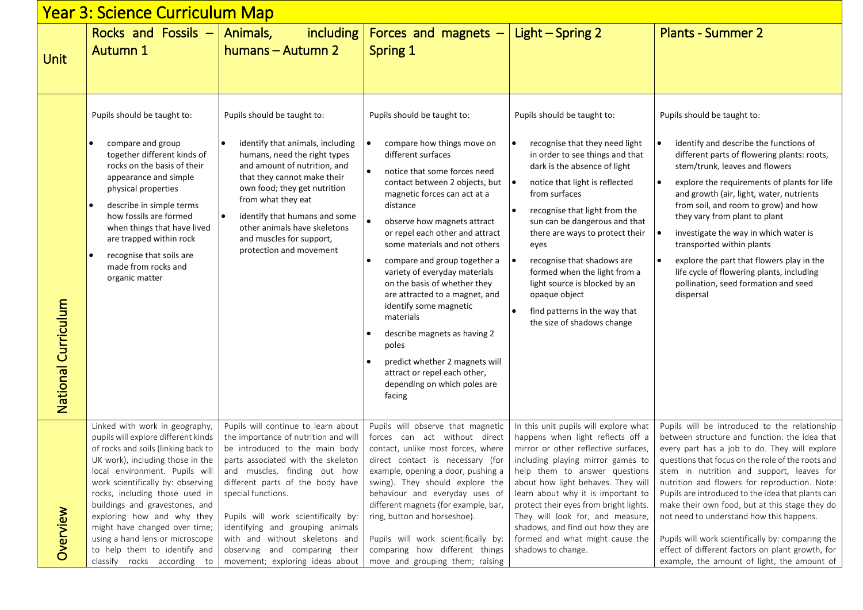| <u> Year 3: Science Curriculum Map</u> |                                                                                                                                                                                                                                                                                                                                                                                                                                                              |                                                                                                                                                                                                                                                                                                                                                                                                                                |                                                                                                                                                                                                                                                                                                                                                                                                                                                                                                                                                                                                                                 |                                                                                                                                                                                                                                                                                                                                                                                                                                                                                                                                     |                                                                                                                                                                                                                                                                                                                                                                                                                                                                                                                                                                                                               |  |
|----------------------------------------|--------------------------------------------------------------------------------------------------------------------------------------------------------------------------------------------------------------------------------------------------------------------------------------------------------------------------------------------------------------------------------------------------------------------------------------------------------------|--------------------------------------------------------------------------------------------------------------------------------------------------------------------------------------------------------------------------------------------------------------------------------------------------------------------------------------------------------------------------------------------------------------------------------|---------------------------------------------------------------------------------------------------------------------------------------------------------------------------------------------------------------------------------------------------------------------------------------------------------------------------------------------------------------------------------------------------------------------------------------------------------------------------------------------------------------------------------------------------------------------------------------------------------------------------------|-------------------------------------------------------------------------------------------------------------------------------------------------------------------------------------------------------------------------------------------------------------------------------------------------------------------------------------------------------------------------------------------------------------------------------------------------------------------------------------------------------------------------------------|---------------------------------------------------------------------------------------------------------------------------------------------------------------------------------------------------------------------------------------------------------------------------------------------------------------------------------------------------------------------------------------------------------------------------------------------------------------------------------------------------------------------------------------------------------------------------------------------------------------|--|
| <b>Unit</b>                            | Rocks and Fossils -<br><b>Autumn 1</b>                                                                                                                                                                                                                                                                                                                                                                                                                       | Animals,<br><i>including</i><br>humans - Autumn 2                                                                                                                                                                                                                                                                                                                                                                              | Forces and magnets -<br>Spring 1                                                                                                                                                                                                                                                                                                                                                                                                                                                                                                                                                                                                | Light - Spring 2                                                                                                                                                                                                                                                                                                                                                                                                                                                                                                                    | <b>Plants - Summer 2</b>                                                                                                                                                                                                                                                                                                                                                                                                                                                                                                                                                                                      |  |
| National Curriculum                    | Pupils should be taught to:<br>compare and group<br>together different kinds of<br>rocks on the basis of their<br>appearance and simple<br>physical properties<br>describe in simple terms<br>how fossils are formed<br>when things that have lived<br>are trapped within rock<br>recognise that soils are<br>made from rocks and<br>organic matter                                                                                                          | Pupils should be taught to:<br>identify that animals, including<br>humans, need the right types<br>and amount of nutrition, and<br>that they cannot make their<br>own food; they get nutrition<br>from what they eat<br>identify that humans and some<br>other animals have skeletons<br>and muscles for support,<br>protection and movement                                                                                   | Pupils should be taught to:<br>compare how things move on<br>different surfaces<br>notice that some forces need<br>contact between 2 objects, but<br>magnetic forces can act at a<br>distance<br>observe how magnets attract<br>or repel each other and attract<br>some materials and not others<br>compare and group together a<br>variety of everyday materials<br>on the basis of whether they<br>are attracted to a magnet, and<br>identify some magnetic<br>materials<br>describe magnets as having 2<br>poles<br>predict whether 2 magnets will<br>attract or repel each other,<br>depending on which poles are<br>facing | Pupils should be taught to:<br>recognise that they need light<br>$\bullet$<br>in order to see things and that<br>dark is the absence of light<br>notice that light is reflected<br>$\bullet$<br>from surfaces<br>recognise that light from the<br>$\bullet$<br>sun can be dangerous and that<br>there are ways to protect their<br>eyes<br>recognise that shadows are<br>formed when the light from a<br>light source is blocked by an<br>opaque object<br>find patterns in the way that<br>$\bullet$<br>the size of shadows change | Pupils should be taught to:<br>identify and describe the functions of<br>$\bullet$<br>different parts of flowering plants: roots,<br>stem/trunk, leaves and flowers<br>explore the requirements of plants for life<br>$\bullet$<br>and growth (air, light, water, nutrients<br>from soil, and room to grow) and how<br>they vary from plant to plant<br>investigate the way in which water is<br>transported within plants<br>explore the part that flowers play in the<br>life cycle of flowering plants, including<br>pollination, seed formation and seed<br>dispersal                                     |  |
| Overview                               | Linked with work in geography,<br>pupils will explore different kinds<br>of rocks and soils (linking back to<br>UK work), including those in the<br>local environment. Pupils will<br>work scientifically by: observing<br>rocks, including those used in<br>buildings and gravestones, and<br>exploring how and why they<br>might have changed over time;<br>using a hand lens or microscope<br>to help them to identify and<br>classify rocks according to | Pupils will continue to learn about<br>the importance of nutrition and will<br>be introduced to the main body<br>parts associated with the skeleton<br>and muscles, finding out how<br>different parts of the body have<br>special functions.<br>Pupils will work scientifically by:<br>identifying and grouping animals<br>with and without skeletons and<br>observing and comparing their<br>movement; exploring ideas about | Pupils will observe that magnetic<br>forces can act without direct<br>contact, unlike most forces, where<br>direct contact is necessary (for<br>example, opening a door, pushing a<br>swing). They should explore the<br>behaviour and everyday uses of<br>different magnets (for example, bar,<br>ring, button and horseshoe).<br>Pupils will work scientifically by:<br>comparing how different things<br>move and grouping them; raising                                                                                                                                                                                     | In this unit pupils will explore what<br>happens when light reflects off a<br>mirror or other reflective surfaces,<br>including playing mirror games to<br>help them to answer questions<br>about how light behaves. They will<br>learn about why it is important to<br>protect their eyes from bright lights.<br>They will look for, and measure,<br>shadows, and find out how they are<br>formed and what might cause the<br>shadows to change.                                                                                   | Pupils will be introduced to the relationship<br>between structure and function: the idea that<br>every part has a job to do. They will explore<br>questions that focus on the role of the roots and<br>stem in nutrition and support, leaves for<br>nutrition and flowers for reproduction. Note:<br>Pupils are introduced to the idea that plants can<br>make their own food, but at this stage they do<br>not need to understand how this happens.<br>Pupils will work scientifically by: comparing the<br>effect of different factors on plant growth, for<br>example, the amount of light, the amount of |  |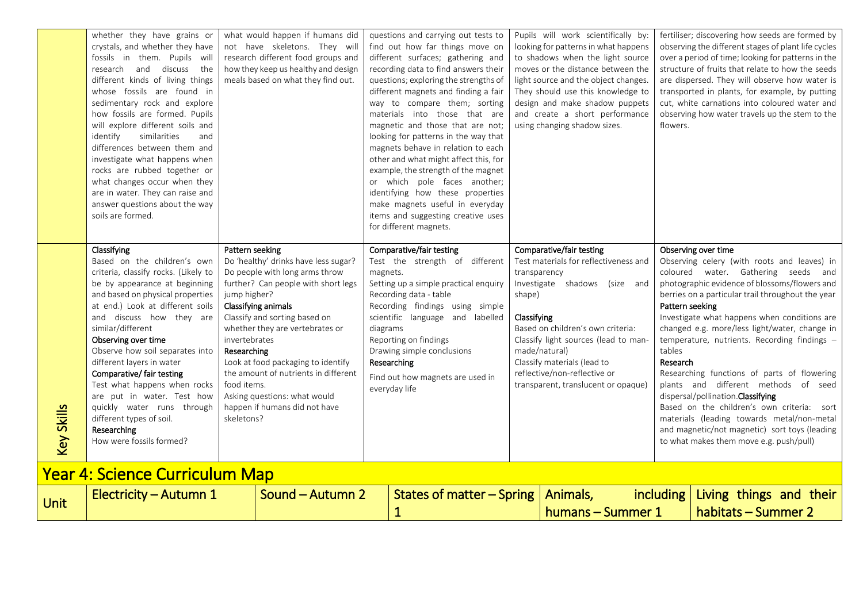humans – Summer 1

habitats – Summer 2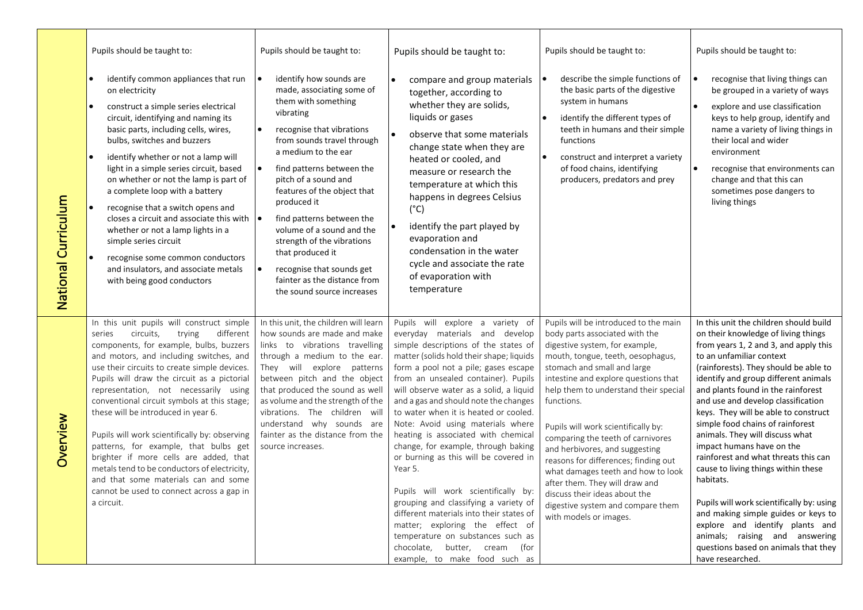| National Curriculum | Pupils should be taught to:<br>identify common appliances that run<br>$\bullet$<br>on electricity<br>construct a simple series electrical<br>circuit, identifying and naming its<br>basic parts, including cells, wires,<br>bulbs, switches and buzzers<br>identify whether or not a lamp will<br>light in a simple series circuit, based<br>on whether or not the lamp is part of<br>a complete loop with a battery<br>recognise that a switch opens and<br>closes a circuit and associate this with<br>whether or not a lamp lights in a<br>simple series circuit<br>recognise some common conductors<br>and insulators, and associate metals<br>with being good conductors                      | Pupils should be taught to:<br>identify how sounds are<br>made, associating some of<br>them with something<br>vibrating<br>recognise that vibrations<br>from sounds travel through<br>a medium to the ear<br>find patterns between the<br>pitch of a sound and<br>features of the object that<br>produced it<br>find patterns between the<br>$\bullet$<br>volume of a sound and the<br>strength of the vibrations<br>that produced it<br>recognise that sounds get<br>fainter as the distance from<br>the sound source increases | Pupils should be taught to:<br>compare and group materials<br>together, according to<br>whether they are solids,<br>liquids or gases<br>$\bullet$<br>observe that some materials<br>change state when they are<br>heated or cooled, and<br>measure or research the<br>temperature at which this<br>happens in degrees Celsius<br>$(^{\circ}C)$<br>identify the part played by<br>$\bullet$<br>evaporation and<br>condensation in the water<br>cycle and associate the rate<br>of evaporation with<br>temperature                                                                                                                                                                                                                                                                                                      | Pupils should be taught to:<br>describe the simple functions of<br>the basic parts of the digestive<br>system in humans<br>identify the different types of<br>teeth in humans and their simple<br>functions<br>construct and interpret a variety<br>of food chains, identifying<br>producers, predators and prey                                                                                                                                                                                                                                                                                           | Pupils should be taught to:<br>recognise that living things can<br>I۰<br>be grouped in a variety of ways<br>explore and use classification<br>l e i<br>keys to help group, identify and<br>name a variety of living things in<br>their local and wider<br>environment<br>recognise that environments can<br>change and that this can<br>sometimes pose dangers to<br>living things                                                                                                                                                                                                                                                                                                                                                                                           |
|---------------------|----------------------------------------------------------------------------------------------------------------------------------------------------------------------------------------------------------------------------------------------------------------------------------------------------------------------------------------------------------------------------------------------------------------------------------------------------------------------------------------------------------------------------------------------------------------------------------------------------------------------------------------------------------------------------------------------------|----------------------------------------------------------------------------------------------------------------------------------------------------------------------------------------------------------------------------------------------------------------------------------------------------------------------------------------------------------------------------------------------------------------------------------------------------------------------------------------------------------------------------------|-----------------------------------------------------------------------------------------------------------------------------------------------------------------------------------------------------------------------------------------------------------------------------------------------------------------------------------------------------------------------------------------------------------------------------------------------------------------------------------------------------------------------------------------------------------------------------------------------------------------------------------------------------------------------------------------------------------------------------------------------------------------------------------------------------------------------|------------------------------------------------------------------------------------------------------------------------------------------------------------------------------------------------------------------------------------------------------------------------------------------------------------------------------------------------------------------------------------------------------------------------------------------------------------------------------------------------------------------------------------------------------------------------------------------------------------|------------------------------------------------------------------------------------------------------------------------------------------------------------------------------------------------------------------------------------------------------------------------------------------------------------------------------------------------------------------------------------------------------------------------------------------------------------------------------------------------------------------------------------------------------------------------------------------------------------------------------------------------------------------------------------------------------------------------------------------------------------------------------|
| Overview            | In this unit pupils will construct simple<br>circuits,<br>trying<br>different<br>series<br>components, for example, bulbs, buzzers<br>and motors, and including switches, and<br>use their circuits to create simple devices.<br>Pupils will draw the circuit as a pictorial<br>representation, not necessarily using<br>conventional circuit symbols at this stage;<br>these will be introduced in year 6.<br>Pupils will work scientifically by: observing<br>patterns, for example, that bulbs get<br>brighter if more cells are added, that<br>metals tend to be conductors of electricity,<br>and that some materials can and some<br>cannot be used to connect across a gap in<br>a circuit. | In this unit, the children will learn<br>how sounds are made and make<br>links to vibrations travelling<br>through a medium to the ear.<br>They will explore patterns<br>between pitch and the object<br>that produced the sound as well<br>as volume and the strength of the<br>vibrations. The children will<br>understand why sounds are<br>fainter as the distance from the<br>source increases.                                                                                                                             | Pupils will explore a variety of<br>everyday materials and develop<br>simple descriptions of the states of<br>matter (solids hold their shape; liquids<br>form a pool not a pile; gases escape<br>from an unsealed container). Pupils<br>will observe water as a solid, a liquid<br>and a gas and should note the changes<br>to water when it is heated or cooled.<br>Note: Avoid using materials where<br>heating is associated with chemical<br>change, for example, through baking<br>or burning as this will be covered in<br>Year 5.<br>Pupils will work scientifically by:<br>grouping and classifying a variety of<br>different materials into their states of<br>matter; exploring the effect of<br>temperature on substances such as<br>butter, cream<br>chocolate,<br>(for<br>example, to make food such as | Pupils will be introduced to the main<br>body parts associated with the<br>digestive system, for example,<br>mouth, tongue, teeth, oesophagus,<br>stomach and small and large<br>intestine and explore questions that<br>help them to understand their special<br>functions.<br>Pupils will work scientifically by:<br>comparing the teeth of carnivores<br>and herbivores, and suggesting<br>reasons for differences; finding out<br>what damages teeth and how to look<br>after them. They will draw and<br>discuss their ideas about the<br>digestive system and compare them<br>with models or images. | In this unit the children should build<br>on their knowledge of living things<br>from years 1, 2 and 3, and apply this<br>to an unfamiliar context<br>(rainforests). They should be able to<br>identify and group different animals<br>and plants found in the rainforest<br>and use and develop classification<br>keys. They will be able to construct<br>simple food chains of rainforest<br>animals. They will discuss what<br>impact humans have on the<br>rainforest and what threats this can<br>cause to living things within these<br>habitats.<br>Pupils will work scientifically by: using<br>and making simple guides or keys to<br>explore and identify plants and<br>animals; raising and answering<br>questions based on animals that they<br>have researched. |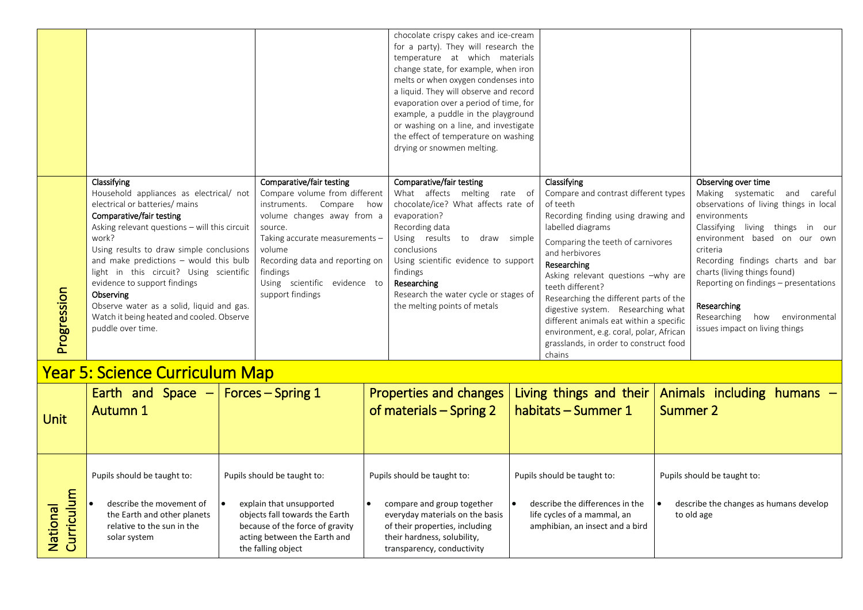|                                        |                                                                                                                                                                                                                                                                                                                                                                                                                                                                             |                                                                                                                                                                                                                                                                               | chocolate crispy cakes and ice-cream<br>for a party). They will research the<br>temperature at which materials<br>change state, for example, when iron                                                                                                                                                                          |                                                                                                                                                                                                                                                                                                                                                                                                                                                                                       |                                                                                                                                                                                                                                                                                                                                                                                                      |  |
|----------------------------------------|-----------------------------------------------------------------------------------------------------------------------------------------------------------------------------------------------------------------------------------------------------------------------------------------------------------------------------------------------------------------------------------------------------------------------------------------------------------------------------|-------------------------------------------------------------------------------------------------------------------------------------------------------------------------------------------------------------------------------------------------------------------------------|---------------------------------------------------------------------------------------------------------------------------------------------------------------------------------------------------------------------------------------------------------------------------------------------------------------------------------|---------------------------------------------------------------------------------------------------------------------------------------------------------------------------------------------------------------------------------------------------------------------------------------------------------------------------------------------------------------------------------------------------------------------------------------------------------------------------------------|------------------------------------------------------------------------------------------------------------------------------------------------------------------------------------------------------------------------------------------------------------------------------------------------------------------------------------------------------------------------------------------------------|--|
|                                        |                                                                                                                                                                                                                                                                                                                                                                                                                                                                             |                                                                                                                                                                                                                                                                               | melts or when oxygen condenses into<br>a liquid. They will observe and record<br>evaporation over a period of time, for<br>example, a puddle in the playground<br>or washing on a line, and investigate<br>the effect of temperature on washing<br>drying or snowmen melting.                                                   |                                                                                                                                                                                                                                                                                                                                                                                                                                                                                       |                                                                                                                                                                                                                                                                                                                                                                                                      |  |
| Progression                            | Classifying<br>Household appliances as electrical/ not<br>electrical or batteries/ mains<br>Comparative/fair testing<br>Asking relevant questions - will this circuit<br>work?<br>Using results to draw simple conclusions<br>and make predictions - would this bulb<br>light in this circuit? Using scientific<br>evidence to support findings<br>Observing<br>Observe water as a solid, liquid and gas.<br>Watch it being heated and cooled. Observe<br>puddle over time. | Comparative/fair testing<br>Compare volume from different<br>instruments. Compare how<br>volume changes away from a<br>source.<br>Taking accurate measurements -<br>volume<br>Recording data and reporting on<br>findings<br>Using scientific evidence to<br>support findings | Comparative/fair testing<br>What affects melting rate of<br>chocolate/ice? What affects rate of<br>evaporation?<br>Recording data<br>Using results to<br>draw simple<br>conclusions<br>Using scientific evidence to support<br>findings<br>Researching<br>Research the water cycle or stages of<br>the melting points of metals | Classifying<br>Compare and contrast different types<br>of teeth<br>Recording finding using drawing and<br>labelled diagrams<br>Comparing the teeth of carnivores<br>and herbivores<br>Researching<br>Asking relevant questions -why are<br>teeth different?<br>Researching the different parts of the<br>digestive system. Researching what<br>different animals eat within a specific<br>environment, e.g. coral, polar, African<br>grasslands, in order to construct food<br>chains | Observing over time<br>Making systematic and careful<br>observations of living things in local<br>environments<br>Classifying living things in our<br>environment based on our own<br>criteria<br>Recording findings charts and bar<br>charts (living things found)<br>Reporting on findings - presentations<br>Researching<br>Researching<br>environmental<br>how<br>issues impact on living things |  |
| <u> Year 5: Science Curriculum Map</u> |                                                                                                                                                                                                                                                                                                                                                                                                                                                                             |                                                                                                                                                                                                                                                                               |                                                                                                                                                                                                                                                                                                                                 |                                                                                                                                                                                                                                                                                                                                                                                                                                                                                       |                                                                                                                                                                                                                                                                                                                                                                                                      |  |
|                                        | Earth and Space $-$ Forces – Spring 1<br>Properties and changes   Living things and their   Animals including humans $-$                                                                                                                                                                                                                                                                                                                                                    |                                                                                                                                                                                                                                                                               |                                                                                                                                                                                                                                                                                                                                 |                                                                                                                                                                                                                                                                                                                                                                                                                                                                                       |                                                                                                                                                                                                                                                                                                                                                                                                      |  |

| Unit                                   | and Space<br>Earth<br>$\overline{\phantom{0}}$<br>Autumn 1                                                                           | Forces $-$ Spring 1                                                                                                                                                                | <b>Properties and changes</b><br>of materials - Spring 2                                                                                                                                    | Living things and their<br>habitats - Summer 1                                                                                   | Animals including humans -<br>Summer 2                                              |
|----------------------------------------|--------------------------------------------------------------------------------------------------------------------------------------|------------------------------------------------------------------------------------------------------------------------------------------------------------------------------------|---------------------------------------------------------------------------------------------------------------------------------------------------------------------------------------------|----------------------------------------------------------------------------------------------------------------------------------|-------------------------------------------------------------------------------------|
| riculum<br><b>IPUOI</b><br>Nati<br>Cur | Pupils should be taught to:<br>describe the movement of<br>the Earth and other planets<br>relative to the sun in the<br>solar system | Pupils should be taught to:<br>explain that unsupported<br>objects fall towards the Earth<br>because of the force of gravity<br>acting between the Earth and<br>the falling object | Pupils should be taught to:<br>compare and group together<br>everyday materials on the basis<br>of their properties, including<br>their hardness, solubility,<br>transparency, conductivity | Pupils should be taught to:<br>describe the differences in the<br>life cycles of a mammal, an<br>amphibian, an insect and a bird | Pupils should be taught to:<br>describe the changes as humans develop<br>to old age |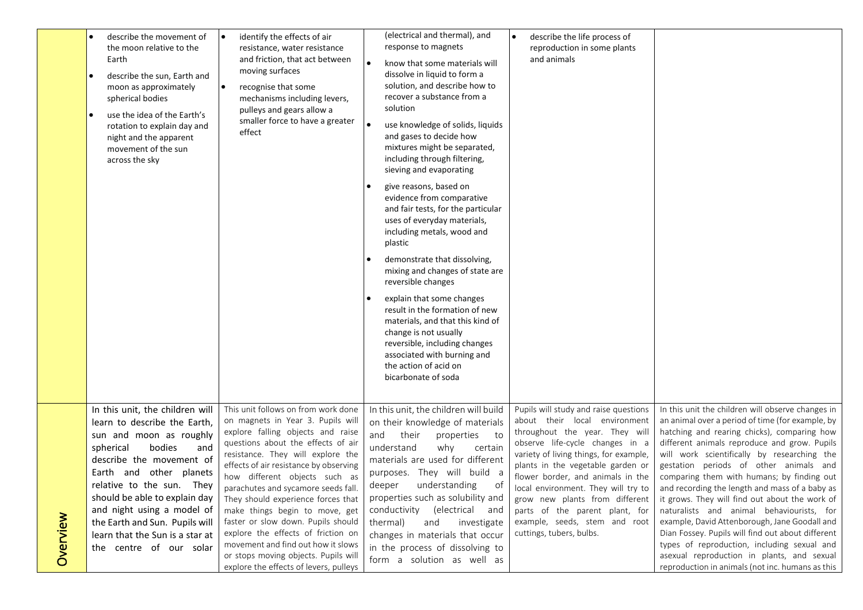|          | describe the movement of<br>the moon relative to the<br>Earth<br>describe the sun, Earth and<br>moon as approximately<br>spherical bodies<br>use the idea of the Earth's<br>rotation to explain day and<br>night and the apparent<br>movement of the sun<br>across the sky                                                                                                  | identify the effects of air<br>$\bullet$<br>resistance, water resistance<br>and friction, that act between<br>moving surfaces<br>$\bullet$<br>recognise that some<br>mechanisms including levers,<br>pulleys and gears allow a<br>smaller force to have a greater<br>effect                                                                                                                                                                                                                                                                                                            | (electrical and thermal), and<br>response to magnets<br>$\bullet$<br>know that some materials will<br>dissolve in liquid to form a<br>solution, and describe how to<br>recover a substance from a<br>solution<br>use knowledge of solids, liquids<br>and gases to decide how<br>mixtures might be separated,<br>including through filtering,<br>sieving and evaporating<br>give reasons, based on<br>evidence from comparative<br>and fair tests, for the particular<br>uses of everyday materials,<br>including metals, wood and<br>plastic<br>demonstrate that dissolving,<br>mixing and changes of state are<br>reversible changes<br>explain that some changes<br>result in the formation of new<br>materials, and that this kind of<br>change is not usually<br>reversible, including changes<br>associated with burning and<br>the action of acid on<br>bicarbonate of soda | describe the life process of<br>reproduction in some plants<br>and animals                                                                                                                                                                                                                                                                                                                                                              |                                                                                                                                                                                                                                                                                                                                                                                                                                                                                                                                                                                                                                                                                                                                                     |
|----------|-----------------------------------------------------------------------------------------------------------------------------------------------------------------------------------------------------------------------------------------------------------------------------------------------------------------------------------------------------------------------------|----------------------------------------------------------------------------------------------------------------------------------------------------------------------------------------------------------------------------------------------------------------------------------------------------------------------------------------------------------------------------------------------------------------------------------------------------------------------------------------------------------------------------------------------------------------------------------------|-----------------------------------------------------------------------------------------------------------------------------------------------------------------------------------------------------------------------------------------------------------------------------------------------------------------------------------------------------------------------------------------------------------------------------------------------------------------------------------------------------------------------------------------------------------------------------------------------------------------------------------------------------------------------------------------------------------------------------------------------------------------------------------------------------------------------------------------------------------------------------------|-----------------------------------------------------------------------------------------------------------------------------------------------------------------------------------------------------------------------------------------------------------------------------------------------------------------------------------------------------------------------------------------------------------------------------------------|-----------------------------------------------------------------------------------------------------------------------------------------------------------------------------------------------------------------------------------------------------------------------------------------------------------------------------------------------------------------------------------------------------------------------------------------------------------------------------------------------------------------------------------------------------------------------------------------------------------------------------------------------------------------------------------------------------------------------------------------------------|
| Overview | In this unit, the children will<br>learn to describe the Earth,<br>sun and moon as roughly<br>spherical<br>bodies<br>and<br>describe the movement of<br>Earth and other planets<br>relative to the sun. They<br>should be able to explain day<br>and night using a model of<br>the Earth and Sun. Pupils will<br>learn that the Sun is a star at<br>the centre of our solar | This unit follows on from work done<br>on magnets in Year 3. Pupils will<br>explore falling objects and raise<br>questions about the effects of air<br>resistance. They will explore the<br>effects of air resistance by observing<br>how different objects such as<br>parachutes and sycamore seeds fall.<br>They should experience forces that<br>make things begin to move, get<br>faster or slow down. Pupils should<br>explore the effects of friction on<br>movement and find out how it slows<br>or stops moving objects. Pupils will<br>explore the effects of levers, pulleys | In this unit, the children will build<br>on their knowledge of materials<br>and<br>their<br>properties<br>to<br>understand<br>why<br>certain<br>materials are used for different<br>purposes. They will build a<br>understanding<br>deeper<br>ot<br>properties such as solubility and<br>conductivity (electrical and<br>thermal)<br>and<br>investigate<br>changes in materials that occur<br>in the process of dissolving to<br>form a solution as well as                                                                                                                                                                                                                                                                                                                                                                                                                       | Pupils will study and raise questions<br>about their local environment<br>throughout the year. They will<br>observe life-cycle changes in a<br>variety of living things, for example,<br>plants in the vegetable garden or<br>flower border, and animals in the<br>local environment. They will try to<br>grow new plants from different<br>parts of the parent plant, for<br>example, seeds, stem and root<br>cuttings, tubers, bulbs. | In this unit the children will observe changes in<br>an animal over a period of time (for example, by<br>hatching and rearing chicks), comparing how<br>different animals reproduce and grow. Pupils<br>will work scientifically by researching the<br>gestation periods of other animals and<br>comparing them with humans; by finding out<br>and recording the length and mass of a baby as<br>it grows. They will find out about the work of<br>naturalists and animal behaviourists, for<br>example, David Attenborough, Jane Goodall and<br>Dian Fossey. Pupils will find out about different<br>types of reproduction, including sexual and<br>asexual reproduction in plants, and sexual<br>reproduction in animals (not inc. humans as this |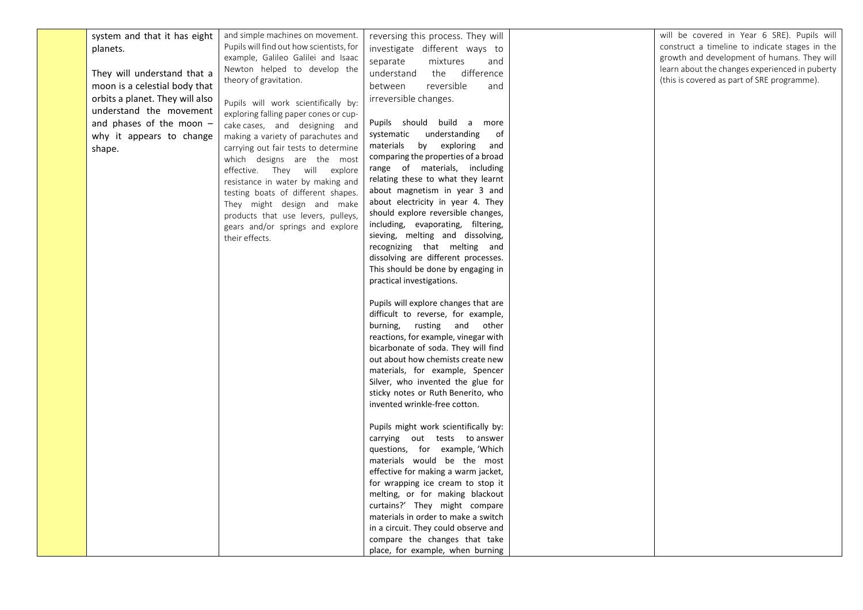| system and that it has eight    | and simple machines on movement.         | reversing this process. They will                                    | will be covered in Year 6 SRE). Pupils will    |
|---------------------------------|------------------------------------------|----------------------------------------------------------------------|------------------------------------------------|
| planets.                        | Pupils will find out how scientists, for | investigate different ways to                                        | construct a timeline to indicate stages in the |
|                                 | example, Galileo Galilei and Isaac       | separate<br>mixtures<br>and                                          | growth and development of humans. They will    |
| They will understand that a     | Newton helped to develop the             | the difference<br>understand                                         | learn about the changes experienced in puberty |
| moon is a celestial body that   | theory of gravitation.                   | reversible<br>between<br>and                                         | (this is covered as part of SRE programme).    |
|                                 |                                          |                                                                      |                                                |
| orbits a planet. They will also | Pupils will work scientifically by:      | irreversible changes.                                                |                                                |
| understand the movement         | exploring falling paper cones or cup-    |                                                                      |                                                |
| and phases of the moon -        | cake cases, and designing and            | Pupils should build a<br>more                                        |                                                |
| why it appears to change        | making a variety of parachutes and       | understanding<br>systematic<br>of                                    |                                                |
| shape.                          | carrying out fair tests to determine     | materials by exploring<br>and                                        |                                                |
|                                 | which designs are the most               | comparing the properties of a broad                                  |                                                |
|                                 | effective. They will explore             | range of materials, including                                        |                                                |
|                                 | resistance in water by making and        | relating these to what they learnt                                   |                                                |
|                                 | testing boats of different shapes.       | about magnetism in year 3 and                                        |                                                |
|                                 | They might design and make               | about electricity in year 4. They                                    |                                                |
|                                 | products that use levers, pulleys,       | should explore reversible changes,                                   |                                                |
|                                 | gears and/or springs and explore         | including, evaporating, filtering,                                   |                                                |
|                                 | their effects.                           | sieving, melting and dissolving,                                     |                                                |
|                                 |                                          | recognizing that melting and                                         |                                                |
|                                 |                                          | dissolving are different processes.                                  |                                                |
|                                 |                                          | This should be done by engaging in<br>practical investigations.      |                                                |
|                                 |                                          |                                                                      |                                                |
|                                 |                                          | Pupils will explore changes that are                                 |                                                |
|                                 |                                          | difficult to reverse, for example,                                   |                                                |
|                                 |                                          | burning, rusting and other                                           |                                                |
|                                 |                                          | reactions, for example, vinegar with                                 |                                                |
|                                 |                                          | bicarbonate of soda. They will find                                  |                                                |
|                                 |                                          | out about how chemists create new                                    |                                                |
|                                 |                                          | materials, for example, Spencer                                      |                                                |
|                                 |                                          | Silver, who invented the glue for                                    |                                                |
|                                 |                                          | sticky notes or Ruth Benerito, who                                   |                                                |
|                                 |                                          | invented wrinkle-free cotton.                                        |                                                |
|                                 |                                          |                                                                      |                                                |
|                                 |                                          | Pupils might work scientifically by:                                 |                                                |
|                                 |                                          | carrying out tests to answer                                         |                                                |
|                                 |                                          | questions, for example, 'Which                                       |                                                |
|                                 |                                          | materials would be the most                                          |                                                |
|                                 |                                          | effective for making a warm jacket,                                  |                                                |
|                                 |                                          | for wrapping ice cream to stop it                                    |                                                |
|                                 |                                          | melting, or for making blackout                                      |                                                |
|                                 |                                          | curtains?' They might compare<br>materials in order to make a switch |                                                |
|                                 |                                          | in a circuit. They could observe and                                 |                                                |
|                                 |                                          | compare the changes that take                                        |                                                |
|                                 |                                          | place, for example, when burning                                     |                                                |
|                                 |                                          |                                                                      |                                                |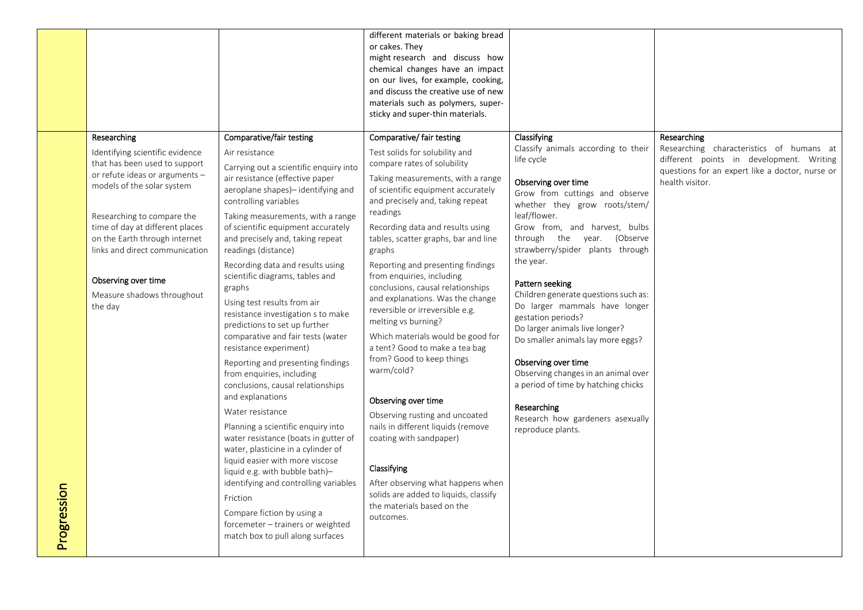|             |                                                                                                                                                                                                                                                                                                                                                     |                                                                                                                                                                                                                                                                                                                                                                                                                                                                                                                                                                                                                                                                                                                                                                                                                                                                                                                                                                                 | different materials or baking bread<br>or cakes. They<br>might research and discuss how<br>chemical changes have an impact<br>on our lives, for example, cooking,<br>and discuss the creative use of new<br>materials such as polymers, super-<br>sticky and super-thin materials.                                                                                                                                                                                                                                                                                                                                                                                                                                                                                                                                                                        |                                                                                                                                                                                                                                                                                                                                                                                                                                                                                                                                                                                                                                                                  |                                                                                                                                                                           |
|-------------|-----------------------------------------------------------------------------------------------------------------------------------------------------------------------------------------------------------------------------------------------------------------------------------------------------------------------------------------------------|---------------------------------------------------------------------------------------------------------------------------------------------------------------------------------------------------------------------------------------------------------------------------------------------------------------------------------------------------------------------------------------------------------------------------------------------------------------------------------------------------------------------------------------------------------------------------------------------------------------------------------------------------------------------------------------------------------------------------------------------------------------------------------------------------------------------------------------------------------------------------------------------------------------------------------------------------------------------------------|-----------------------------------------------------------------------------------------------------------------------------------------------------------------------------------------------------------------------------------------------------------------------------------------------------------------------------------------------------------------------------------------------------------------------------------------------------------------------------------------------------------------------------------------------------------------------------------------------------------------------------------------------------------------------------------------------------------------------------------------------------------------------------------------------------------------------------------------------------------|------------------------------------------------------------------------------------------------------------------------------------------------------------------------------------------------------------------------------------------------------------------------------------------------------------------------------------------------------------------------------------------------------------------------------------------------------------------------------------------------------------------------------------------------------------------------------------------------------------------------------------------------------------------|---------------------------------------------------------------------------------------------------------------------------------------------------------------------------|
|             | Researching<br>Identifying scientific evidence<br>that has been used to support<br>or refute ideas or arguments -<br>models of the solar system<br>Researching to compare the<br>time of day at different places<br>on the Earth through internet<br>links and direct communication<br>Observing over time<br>Measure shadows throughout<br>the day | Comparative/fair testing<br>Air resistance<br>Carrying out a scientific enquiry into<br>air resistance (effective paper<br>aeroplane shapes)- identifying and<br>controlling variables<br>Taking measurements, with a range<br>of scientific equipment accurately<br>and precisely and, taking repeat<br>readings (distance)<br>Recording data and results using<br>scientific diagrams, tables and<br>graphs<br>Using test results from air<br>resistance investigation s to make<br>predictions to set up further<br>comparative and fair tests (water<br>resistance experiment)<br>Reporting and presenting findings<br>from enquiries, including<br>conclusions, causal relationships<br>and explanations<br>Water resistance<br>Planning a scientific enquiry into<br>water resistance (boats in gutter of<br>water, plasticine in a cylinder of<br>liquid easier with more viscose<br>liquid e.g. with bubble bath)-<br>identifying and controlling variables<br>Friction | Comparative/ fair testing<br>Test solids for solubility and<br>compare rates of solubility<br>Taking measurements, with a range<br>of scientific equipment accurately<br>and precisely and, taking repeat<br>readings<br>Recording data and results using<br>tables, scatter graphs, bar and line<br>graphs<br>Reporting and presenting findings<br>from enquiries, including<br>conclusions, causal relationships<br>and explanations. Was the change<br>reversible or irreversible e.g.<br>melting vs burning?<br>Which materials would be good for<br>a tent? Good to make a tea bag<br>from? Good to keep things<br>warm/cold?<br>Observing over time<br>Observing rusting and uncoated<br>nails in different liquids (remove<br>coating with sandpaper)<br>Classifying<br>After observing what happens when<br>solids are added to liquids, classify | Classifying<br>Classify animals according to their<br>life cycle<br>Observing over time<br>Grow from cuttings and observe<br>whether they grow roots/stem/<br>leaf/flower.<br>Grow from, and harvest, bulbs<br>through the year. (Observe<br>strawberry/spider plants through<br>the year.<br>Pattern seeking<br>Children generate questions such as:<br>Do larger mammals have longer<br>gestation periods?<br>Do larger animals live longer?<br>Do smaller animals lay more eggs?<br>Observing over time<br>Observing changes in an animal over<br>a period of time by hatching chicks<br>Researching<br>Research how gardeners asexually<br>reproduce plants. | Researching<br>Researching characteristics of humans at<br>different points in development. Writing<br>questions for an expert like a doctor, nurse or<br>health visitor. |
| Progression |                                                                                                                                                                                                                                                                                                                                                     | Compare fiction by using a<br>forcemeter - trainers or weighted<br>match box to pull along surfaces                                                                                                                                                                                                                                                                                                                                                                                                                                                                                                                                                                                                                                                                                                                                                                                                                                                                             | the materials based on the<br>outcomes.                                                                                                                                                                                                                                                                                                                                                                                                                                                                                                                                                                                                                                                                                                                                                                                                                   |                                                                                                                                                                                                                                                                                                                                                                                                                                                                                                                                                                                                                                                                  |                                                                                                                                                                           |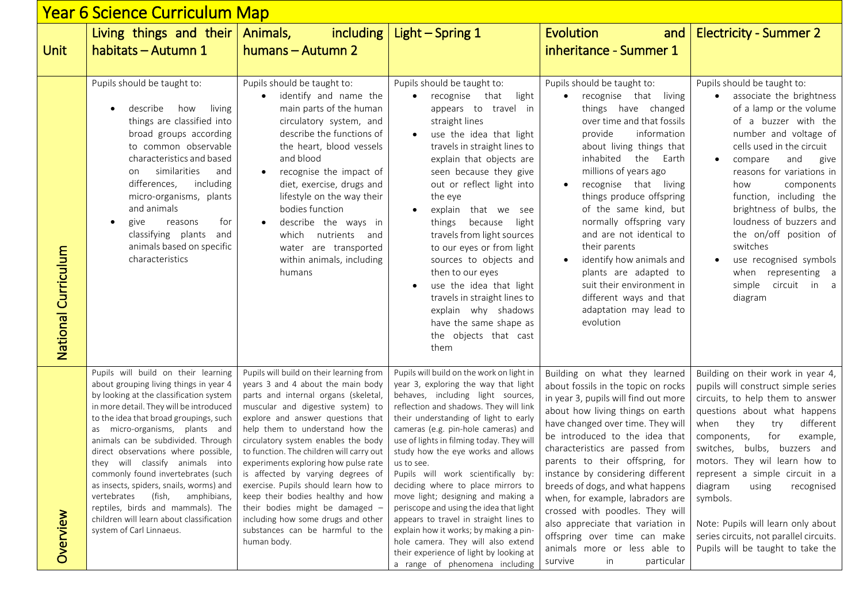| <u> Year 6 Science Curriculum Map</u> |                                                                                                                                                                                                                                                                                                                                                                                                                                                                                                                                                                                                       |                                                                                                                                                                                                                                                                                                                                                                                                                                                                                                                                                                                                             |                                                                                                                                                                                                                                                                                                                                                                                                                                                                                                                                                                                                                                                                                                                        |                                                                                                                                                                                                                                                                                                                                                                                                                                                                                                                                                                                   |                                                                                                                                                                                                                                                                                                                                                                                                                                                                                            |  |  |  |
|---------------------------------------|-------------------------------------------------------------------------------------------------------------------------------------------------------------------------------------------------------------------------------------------------------------------------------------------------------------------------------------------------------------------------------------------------------------------------------------------------------------------------------------------------------------------------------------------------------------------------------------------------------|-------------------------------------------------------------------------------------------------------------------------------------------------------------------------------------------------------------------------------------------------------------------------------------------------------------------------------------------------------------------------------------------------------------------------------------------------------------------------------------------------------------------------------------------------------------------------------------------------------------|------------------------------------------------------------------------------------------------------------------------------------------------------------------------------------------------------------------------------------------------------------------------------------------------------------------------------------------------------------------------------------------------------------------------------------------------------------------------------------------------------------------------------------------------------------------------------------------------------------------------------------------------------------------------------------------------------------------------|-----------------------------------------------------------------------------------------------------------------------------------------------------------------------------------------------------------------------------------------------------------------------------------------------------------------------------------------------------------------------------------------------------------------------------------------------------------------------------------------------------------------------------------------------------------------------------------|--------------------------------------------------------------------------------------------------------------------------------------------------------------------------------------------------------------------------------------------------------------------------------------------------------------------------------------------------------------------------------------------------------------------------------------------------------------------------------------------|--|--|--|
| <b>Unit</b>                           | Living things and their<br>habitats - Autumn 1                                                                                                                                                                                                                                                                                                                                                                                                                                                                                                                                                        | Animals,<br>including<br>humans - Autumn 2                                                                                                                                                                                                                                                                                                                                                                                                                                                                                                                                                                  | Light $-$ Spring 1                                                                                                                                                                                                                                                                                                                                                                                                                                                                                                                                                                                                                                                                                                     | <b>Evolution</b><br>and<br>inheritance - Summer 1                                                                                                                                                                                                                                                                                                                                                                                                                                                                                                                                 | <b>Electricity - Summer 2</b>                                                                                                                                                                                                                                                                                                                                                                                                                                                              |  |  |  |
| National Curriculum                   | Pupils should be taught to:<br>describe<br>how<br>living<br>things are classified into<br>broad groups according<br>to common observable<br>characteristics and based<br>similarities<br>and<br>on<br>including<br>differences,<br>micro-organisms, plants<br>and animals<br>for<br>give<br>reasons<br>classifying plants<br>and<br>animals based on specific<br>characteristics                                                                                                                                                                                                                      | Pupils should be taught to:<br>identify and name the<br>main parts of the human<br>circulatory system, and<br>describe the functions of<br>the heart, blood vessels<br>and blood<br>recognise the impact of<br>diet, exercise, drugs and<br>lifestyle on the way their<br>bodies function<br>describe the ways in<br>nutrients<br>which<br>and<br>water are transported<br>within animals, including<br>humans                                                                                                                                                                                              | Pupils should be taught to:<br>recognise that<br>light<br>appears to travel in<br>straight lines<br>use the idea that light<br>travels in straight lines to<br>explain that objects are<br>seen because they give<br>out or reflect light into<br>the eye<br>explain that we see<br>because<br>light<br>things<br>travels from light sources<br>to our eyes or from light<br>sources to objects and<br>then to our eyes<br>use the idea that light<br>travels in straight lines to<br>explain why shadows<br>have the same shape as<br>the objects that cast<br>them                                                                                                                                                   | Pupils should be taught to:<br>recognise that<br>living<br>things have changed<br>over time and that fossils<br>provide<br>information<br>about living things that<br>inhabited<br>the<br>Earth<br>millions of years ago<br>recognise that living<br>things produce offspring<br>of the same kind, but<br>normally offspring vary<br>and are not identical to<br>their parents<br>identify how animals and<br>plants are adapted to<br>suit their environment in<br>different ways and that<br>adaptation may lead to<br>evolution                                                | Pupils should be taught to:<br>associate the brightness<br>of a lamp or the volume<br>of a buzzer with the<br>number and voltage of<br>cells used in the circuit<br>compare<br>and<br>give<br>reasons for variations in<br>components<br>how<br>function, including the<br>brightness of bulbs, the<br>loudness of buzzers and<br>the on/off position of<br>switches<br>use recognised symbols<br>when representing a<br>simple circuit in a<br>diagram                                    |  |  |  |
| Overview                              | Pupils will build on their learning<br>about grouping living things in year 4<br>by looking at the classification system<br>in more detail. They will be introduced<br>to the idea that broad groupings, such<br>as micro-organisms, plants and<br>animals can be subdivided. Through<br>direct observations where possible,<br>they will classify animals into<br>commonly found invertebrates (such<br>as insects, spiders, snails, worms) and<br>(fish,<br>amphibians,<br>vertebrates<br>reptiles, birds and mammals). The<br>children will learn about classification<br>system of Carl Linnaeus. | Pupils will build on their learning from<br>years 3 and 4 about the main body<br>parts and internal organs (skeletal,<br>muscular and digestive system) to<br>explore and answer questions that<br>help them to understand how the<br>circulatory system enables the body<br>to function. The children will carry out<br>experiments exploring how pulse rate<br>is affected by varying degrees of<br>exercise. Pupils should learn how to<br>keep their bodies healthy and how<br>their bodies might be damaged -<br>including how some drugs and other<br>substances can be harmful to the<br>human body. | Pupils will build on the work on light in<br>year 3, exploring the way that light<br>behaves, including light sources,<br>reflection and shadows. They will link<br>their understanding of light to early<br>cameras (e.g. pin-hole cameras) and<br>use of lights in filming today. They will<br>study how the eye works and allows<br>us to see.<br>Pupils will work scientifically by:<br>deciding where to place mirrors to<br>move light; designing and making a<br>periscope and using the idea that light<br>appears to travel in straight lines to<br>explain how it works; by making a pin-<br>hole camera. They will also extend<br>their experience of light by looking at<br>a range of phenomena including | Building on what they learned<br>about fossils in the topic on rocks<br>in year 3, pupils will find out more<br>about how living things on earth<br>have changed over time. They will<br>be introduced to the idea that<br>characteristics are passed from<br>parents to their offspring, for<br>instance by considering different<br>breeds of dogs, and what happens<br>when, for example, labradors are<br>crossed with poodles. They will<br>also appreciate that variation in<br>offspring over time can make<br>animals more or less able to<br>in<br>particular<br>survive | Building on their work in year 4,<br>pupils will construct simple series<br>circuits, to help them to answer<br>questions about what happens<br>different<br>when<br>they<br>try<br>for<br>components,<br>example,<br>switches, bulbs, buzzers and<br>motors. They wil learn how to<br>represent a simple circuit in a<br>diagram<br>recognised<br>using<br>symbols.<br>Note: Pupils will learn only about<br>series circuits, not parallel circuits.<br>Pupils will be taught to take the |  |  |  |